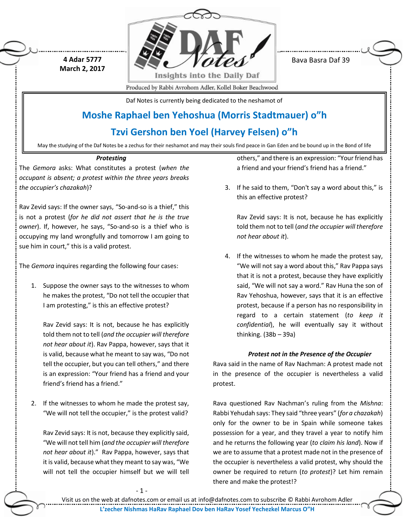

Bava Basra Daf 39

Produced by Rabbi Avrohom Adler, Kollel Boker Beachwood

Daf Notes is currently being dedicated to the neshamot of

# **Moshe Raphael ben Yehoshua (Morris Stadtmauer) o"h**

# **Tzvi Gershon ben Yoel (Harvey Felsen) o"h**

May the studying of the Daf Notes be a zechus for their neshamot and may their souls find peace in Gan Eden and be bound up in the Bond of life

# *Protesting*

The *Gemora* asks: What constitutes a protest (*when the occupant is absent; a protest within the three years breaks the occupier's chazakah*)?

**4 Adar 5777 March 2, 2017**

Rav Zevid says: If the owner says, "So-and-so is a thief," this is not a protest (*for he did not assert that he is the true owner*). If, however, he says, "So-and-so is a thief who is occupying my land wrongfully and tomorrow I am going to sue him in court," this is a valid protest.

The *Gemora* inquires regarding the following four cases:

1. Suppose the owner says to the witnesses to whom he makes the protest, "Do not tell the occupier that I am protesting," is this an effective protest?

Rav Zevid says: It is not, because he has explicitly told them not to tell (*and the occupier will therefore not hear about it*). Rav Pappa, however, says that it is valid, because what he meant to say was, "Do not tell the occupier, but you can tell others," and there is an expression: "Your friend has a friend and your friend's friend has a friend."

2. If the witnesses to whom he made the protest say, "We will not tell the occupier," is the protest valid?

Rav Zevid says: It is not, because they explicitly said, "We will not tell him (*and the occupier will therefore not hear about it*)." Rav Pappa, however, says that it is valid, because what they meant to say was, "We will not tell the occupier himself but we will tell

others," and there is an expression: "Your friend has a friend and your friend's friend has a friend."

3. If he said to them, "Don't say a word about this," is this an effective protest?

Rav Zevid says: It is not, because he has explicitly told them not to tell (*and the occupier will therefore not hear about it*).

4. If the witnesses to whom he made the protest say, "We will not say a word about this," Rav Pappa says that it is not a protest, because they have explicitly said, "We will not say a word." Rav Huna the son of Rav Yehoshua, however, says that it is an effective protest, because if a person has no responsibility in regard to a certain statement (*to keep it confidential*), he will eventually say it without thinking. (38b – 39a)

# *Protest not in the Presence of the Occupier*

Rava said in the name of Rav Nachman: A protest made not in the presence of the occupier is nevertheless a valid protest.

Rava questioned Rav Nachman's ruling from the *Mishna*: Rabbi Yehudah says: They said "three years" (*for a chazakah*) only for the owner to be in Spain while someone takes possession for a year, and they travel a year to notify him and he returns the following year (*to claim his land*). Now if we are to assume that a protest made not in the presence of the occupier is nevertheless a valid protest, why should the owner be required to return (*to protest*)? Let him remain there and make the protest!?

- 1 -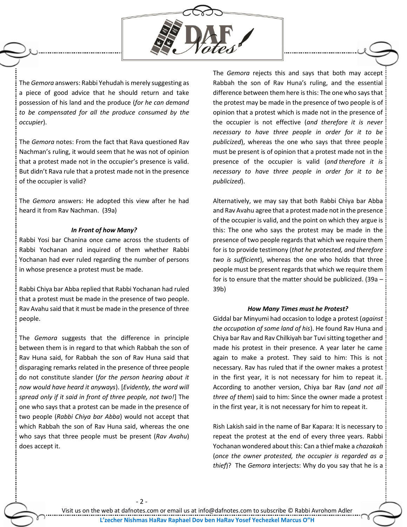

The *Gemora* answers: Rabbi Yehudah is merely suggesting as a piece of good advice that he should return and take possession of his land and the produce (*for he can demand to be compensated for all the produce consumed by the occupier*).

The *Gemora* notes: From the fact that Rava questioned Rav Nachman's ruling, it would seem that he was not of opinion that a protest made not in the occupier's presence is valid. But didn't Rava rule that a protest made not in the presence of the occupier is valid?

The *Gemora* answers: He adopted this view after he had heard it from Rav Nachman. (39a)

#### *In Front of how Many?*

Rabbi Yosi bar Chanina once came across the students of Rabbi Yochanan and inquired of them whether Rabbi Yochanan had ever ruled regarding the number of persons in whose presence a protest must be made.

Rabbi Chiya bar Abba replied that Rabbi Yochanan had ruled that a protest must be made in the presence of two people. Rav Avahu said that it must be made in the presence of three people.

The *Gemora* suggests that the difference in principle between them is in regard to that which Rabbah the son of Rav Huna said, for Rabbah the son of Rav Huna said that disparaging remarks related in the presence of three people do not constitute slander (*for the person hearing about it now would have heard it anyways*). [*Evidently, the word will spread only if it said in front of three people, not two!*] The one who says that a protest can be made in the presence of two people (*Rabbi Chiya bar Abba*) would not accept that which Rabbah the son of Rav Huna said, whereas the one who says that three people must be present (*Rav Avahu*) does accept it.

- 2 -

The *Gemora* rejects this and says that both may accept Rabbah the son of Rav Huna's ruling, and the essential difference between them here is this: The one who says that the protest may be made in the presence of two people is of opinion that a protest which is made not in the presence of the occupier is not effective (*and therefore it is never necessary to have three people in order for it to be publicized*), whereas the one who says that three people must be present is of opinion that a protest made not in the presence of the occupier is valid (*and therefore it is necessary to have three people in order for it to be publicized*).

Alternatively, we may say that both Rabbi Chiya bar Abba and Rav Avahu agree that a protest made not in the presence of the occupier is valid, and the point on which they argue is this: The one who says the protest may be made in the presence of two people regards that which we require them for is to provide testimony (*that he protested, and therefore two is sufficient*), whereas the one who holds that three people must be present regards that which we require them for is to ensure that the matter should be publicized. (39a – 39b)

#### *How Many Times must he Protest?*

Giddal bar Minyumi had occasion to lodge a protest (*against the occupation of some land of his*). He found Rav Huna and Chiya bar Rav and Rav Chilkiyah bar Tuvi sitting together and made his protest in their presence. A year later he came again to make a protest. They said to him: This is not necessary. Rav has ruled that if the owner makes a protest in the first year, it is not necessary for him to repeat it. According to another version, Chiya bar Rav (*and not all three of them*) said to him: Since the owner made a protest in the first year, it is not necessary for him to repeat it.

Rish Lakish said in the name of Bar Kapara: It is necessary to repeat the protest at the end of every three years. Rabbi Yochanan wondered about this: Can a thief make a *chazakah* (*once the owner protested, the occupier is regarded as a thief*)? The *Gemora* interjects: Why do you say that he is a